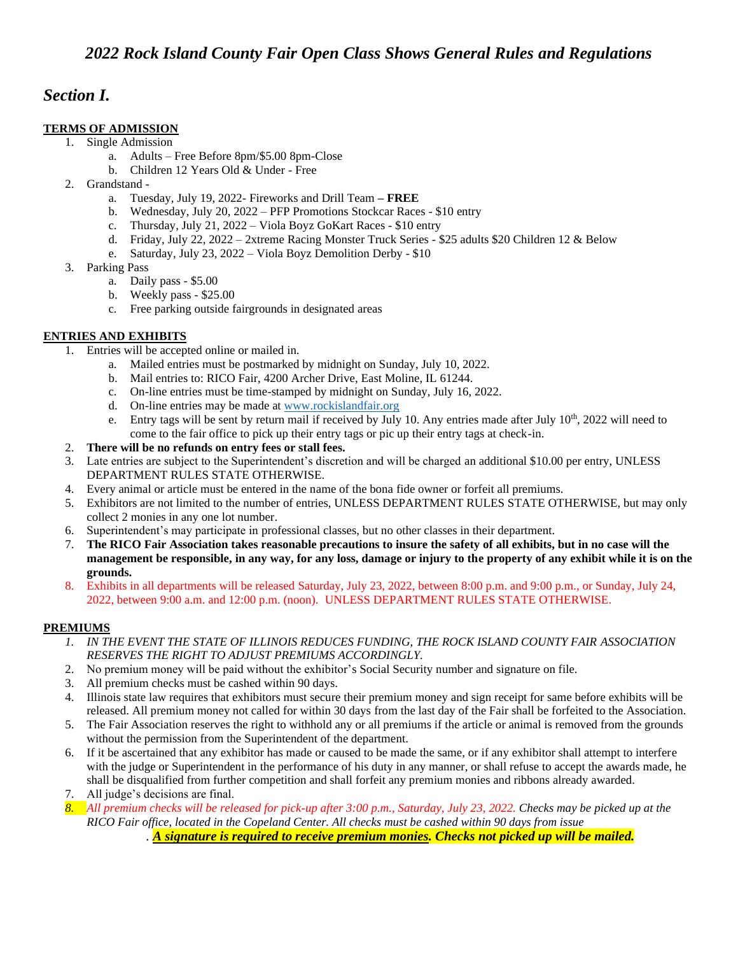## *Section I.*

## **TERMS OF ADMISSION**

- 1. Single Admission
	- a. Adults Free Before 8pm/\$5.00 8pm-Close
		- b. Children 12 Years Old & Under Free
	- 2. Grandstand
		- a. Tuesday, July 19, 2022- Fireworks and Drill Team **– FREE**
		- b. Wednesday, July 20, 2022 PFP Promotions Stockcar Races \$10 entry
		- c. Thursday, July 21, 2022 Viola Boyz GoKart Races \$10 entry
		- d. Friday, July 22, 2022 2xtreme Racing Monster Truck Series \$25 adults \$20 Children 12 & Below
		- e. Saturday, July 23, 2022 Viola Boyz Demolition Derby \$10
	- 3. Parking Pass
		- a. Daily pass \$5.00
		- b. Weekly pass \$25.00
		- c. Free parking outside fairgrounds in designated areas

## **ENTRIES AND EXHIBITS**

- 1. Entries will be accepted online or mailed in.
	- a. Mailed entries must be postmarked by midnight on Sunday, July 10, 2022.
	- b. Mail entries to: RICO Fair, 4200 Archer Drive, East Moline, IL 61244.
	- c. On-line entries must be time-stamped by midnight on Sunday, July 16, 2022.
	- d. On-line entries may be made a[t www.rockislandfair.org](http://www.rockislandfair.org/)
	- e. Entry tags will be sent by return mail if received by July 10. Any entries made after July  $10<sup>th</sup>$ , 2022 will need to come to the fair office to pick up their entry tags or pic up their entry tags at check-in.
- 2. **There will be no refunds on entry fees or stall fees.**
- 3. Late entries are subject to the Superintendent's discretion and will be charged an additional \$10.00 per entry, UNLESS DEPARTMENT RULES STATE OTHERWISE.
- 4. Every animal or article must be entered in the name of the bona fide owner or forfeit all premiums.
- 5. Exhibitors are not limited to the number of entries, UNLESS DEPARTMENT RULES STATE OTHERWISE, but may only collect 2 monies in any one lot number.
- 6. Superintendent's may participate in professional classes, but no other classes in their department.
- 7. **The RICO Fair Association takes reasonable precautions to insure the safety of all exhibits, but in no case will the management be responsible, in any way, for any loss, damage or injury to the property of any exhibit while it is on the grounds.**
- 8. Exhibits in all departments will be released Saturday, July 23, 2022, between 8:00 p.m. and 9:00 p.m., or Sunday, July 24, 2022, between 9:00 a.m. and 12:00 p.m. (noon). UNLESS DEPARTMENT RULES STATE OTHERWISE.

## **PREMIUMS**

- *1. IN THE EVENT THE STATE OF ILLINOIS REDUCES FUNDING, THE ROCK ISLAND COUNTY FAIR ASSOCIATION RESERVES THE RIGHT TO ADJUST PREMIUMS ACCORDINGLY.*
- 2. No premium money will be paid without the exhibitor's Social Security number and signature on file.
- 3. All premium checks must be cashed within 90 days.
- 4. Illinois state law requires that exhibitors must secure their premium money and sign receipt for same before exhibits will be released. All premium money not called for within 30 days from the last day of the Fair shall be forfeited to the Association.
- 5. The Fair Association reserves the right to withhold any or all premiums if the article or animal is removed from the grounds without the permission from the Superintendent of the department.
- 6. If it be ascertained that any exhibitor has made or caused to be made the same, or if any exhibitor shall attempt to interfere with the judge or Superintendent in the performance of his duty in any manner, or shall refuse to accept the awards made, he shall be disqualified from further competition and shall forfeit any premium monies and ribbons already awarded.
- 7. All judge's decisions are final.
- *8. All premium checks will be released for pick-up after 3:00 p.m., Saturday, July 23, 2022. Checks may be picked up at the RICO Fair office, located in the Copeland Center. All checks must be cashed within 90 days from issue*
	- *. A signature is required to receive premium monies. Checks not picked up will be mailed.*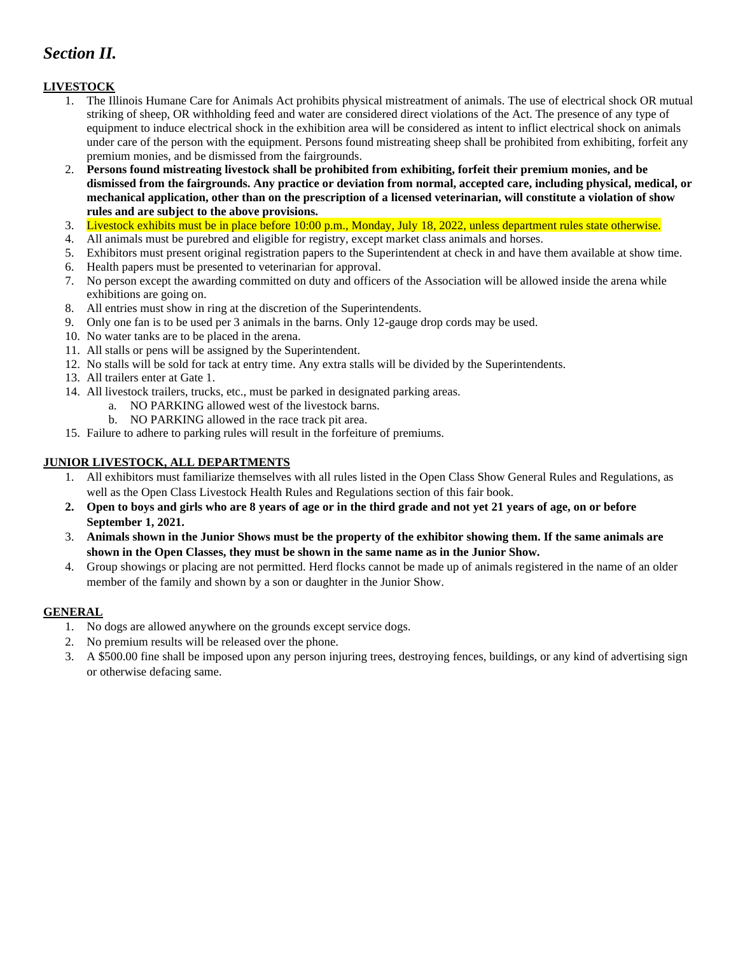# *Section II.*

## **LIVESTOCK**

- 1. The Illinois Humane Care for Animals Act prohibits physical mistreatment of animals. The use of electrical shock OR mutual striking of sheep, OR withholding feed and water are considered direct violations of the Act. The presence of any type of equipment to induce electrical shock in the exhibition area will be considered as intent to inflict electrical shock on animals under care of the person with the equipment. Persons found mistreating sheep shall be prohibited from exhibiting, forfeit any premium monies, and be dismissed from the fairgrounds.
- 2. **Persons found mistreating livestock shall be prohibited from exhibiting, forfeit their premium monies, and be dismissed from the fairgrounds. Any practice or deviation from normal, accepted care, including physical, medical, or mechanical application, other than on the prescription of a licensed veterinarian, will constitute a violation of show rules and are subject to the above provisions.**
- 3. Livestock exhibits must be in place before 10:00 p.m., Monday, July 18, 2022, unless department rules state otherwise.
- 4. All animals must be purebred and eligible for registry, except market class animals and horses.
- 5. Exhibitors must present original registration papers to the Superintendent at check in and have them available at show time.
- 6. Health papers must be presented to veterinarian for approval.
- 7. No person except the awarding committed on duty and officers of the Association will be allowed inside the arena while exhibitions are going on.
- 8. All entries must show in ring at the discretion of the Superintendents.
- 9. Only one fan is to be used per 3 animals in the barns. Only 12-gauge drop cords may be used.
- 10. No water tanks are to be placed in the arena.
- 11. All stalls or pens will be assigned by the Superintendent.
- 12. No stalls will be sold for tack at entry time. Any extra stalls will be divided by the Superintendents.
- 13. All trailers enter at Gate 1.
- 14. All livestock trailers, trucks, etc., must be parked in designated parking areas.
	- a. NO PARKING allowed west of the livestock barns.
	- b. NO PARKING allowed in the race track pit area.
- 15. Failure to adhere to parking rules will result in the forfeiture of premiums.

#### **JUNIOR LIVESTOCK, ALL DEPARTMENTS**

- 1. All exhibitors must familiarize themselves with all rules listed in the Open Class Show General Rules and Regulations, as well as the Open Class Livestock Health Rules and Regulations section of this fair book.
- **2. Open to boys and girls who are 8 years of age or in the third grade and not yet 21 years of age, on or before September 1, 2021.**
- 3. **Animals shown in the Junior Shows must be the property of the exhibitor showing them. If the same animals are shown in the Open Classes, they must be shown in the same name as in the Junior Show.**
- 4. Group showings or placing are not permitted. Herd flocks cannot be made up of animals registered in the name of an older member of the family and shown by a son or daughter in the Junior Show.

#### **GENERAL**

- 1. No dogs are allowed anywhere on the grounds except service dogs.
- 2. No premium results will be released over the phone.
- 3. A \$500.00 fine shall be imposed upon any person injuring trees, destroying fences, buildings, or any kind of advertising sign or otherwise defacing same.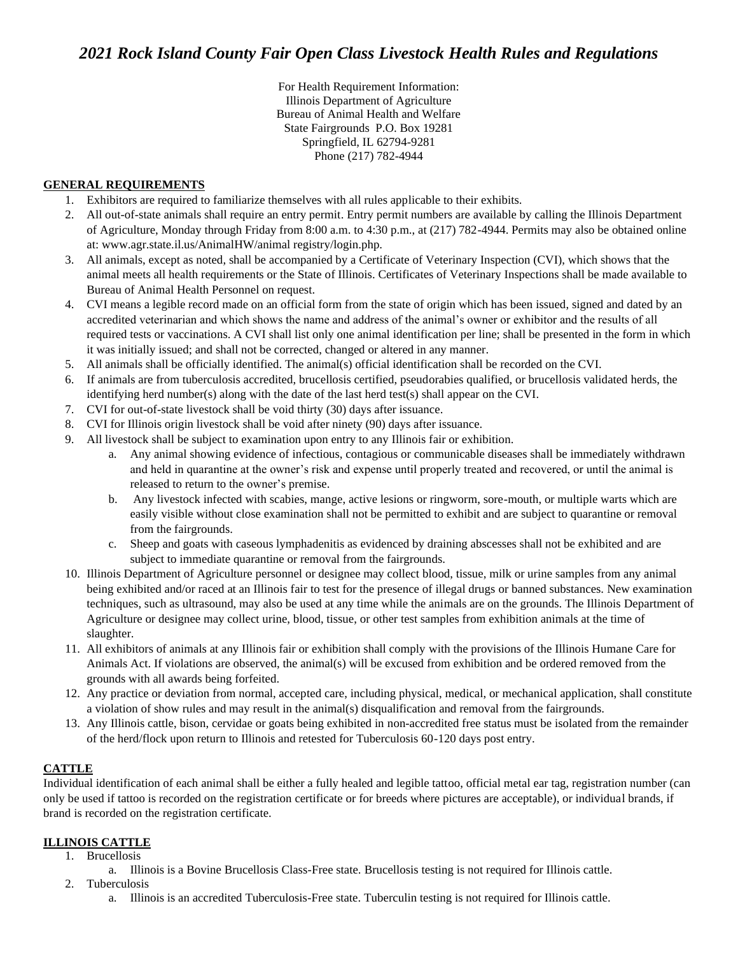For Health Requirement Information: Illinois Department of Agriculture Bureau of Animal Health and Welfare State Fairgrounds P.O. Box 19281 Springfield, IL 62794-9281 Phone (217) 782-4944

## **GENERAL REQUIREMENTS**

- 1. Exhibitors are required to familiarize themselves with all rules applicable to their exhibits.
- 2. All out-of-state animals shall require an entry permit. Entry permit numbers are available by calling the Illinois Department of Agriculture, Monday through Friday from 8:00 a.m. to 4:30 p.m., at (217) 782-4944. Permits may also be obtained online at: www.agr.state.il.us/AnimalHW/animal registry/login.php.
- 3. All animals, except as noted, shall be accompanied by a Certificate of Veterinary Inspection (CVI), which shows that the animal meets all health requirements or the State of Illinois. Certificates of Veterinary Inspections shall be made available to Bureau of Animal Health Personnel on request.
- 4. CVI means a legible record made on an official form from the state of origin which has been issued, signed and dated by an accredited veterinarian and which shows the name and address of the animal's owner or exhibitor and the results of all required tests or vaccinations. A CVI shall list only one animal identification per line; shall be presented in the form in which it was initially issued; and shall not be corrected, changed or altered in any manner.
- 5. All animals shall be officially identified. The animal(s) official identification shall be recorded on the CVI.
- 6. If animals are from tuberculosis accredited, brucellosis certified, pseudorabies qualified, or brucellosis validated herds, the identifying herd number(s) along with the date of the last herd test(s) shall appear on the CVI.
- 7. CVI for out-of-state livestock shall be void thirty (30) days after issuance.
- 8. CVI for Illinois origin livestock shall be void after ninety (90) days after issuance.
- 9. All livestock shall be subject to examination upon entry to any Illinois fair or exhibition.
	- a. Any animal showing evidence of infectious, contagious or communicable diseases shall be immediately withdrawn and held in quarantine at the owner's risk and expense until properly treated and recovered, or until the animal is released to return to the owner's premise.
	- b. Any livestock infected with scabies, mange, active lesions or ringworm, sore-mouth, or multiple warts which are easily visible without close examination shall not be permitted to exhibit and are subject to quarantine or removal from the fairgrounds.
	- c. Sheep and goats with caseous lymphadenitis as evidenced by draining abscesses shall not be exhibited and are subject to immediate quarantine or removal from the fairgrounds.
- 10. Illinois Department of Agriculture personnel or designee may collect blood, tissue, milk or urine samples from any animal being exhibited and/or raced at an Illinois fair to test for the presence of illegal drugs or banned substances. New examination techniques, such as ultrasound, may also be used at any time while the animals are on the grounds. The Illinois Department of Agriculture or designee may collect urine, blood, tissue, or other test samples from exhibition animals at the time of slaughter.
- 11. All exhibitors of animals at any Illinois fair or exhibition shall comply with the provisions of the Illinois Humane Care for Animals Act. If violations are observed, the animal(s) will be excused from exhibition and be ordered removed from the grounds with all awards being forfeited.
- 12. Any practice or deviation from normal, accepted care, including physical, medical, or mechanical application, shall constitute a violation of show rules and may result in the animal(s) disqualification and removal from the fairgrounds.
- 13. Any Illinois cattle, bison, cervidae or goats being exhibited in non-accredited free status must be isolated from the remainder of the herd/flock upon return to Illinois and retested for Tuberculosis 60-120 days post entry.

## **CATTLE**

Individual identification of each animal shall be either a fully healed and legible tattoo, official metal ear tag, registration number (can only be used if tattoo is recorded on the registration certificate or for breeds where pictures are acceptable), or individual brands, if brand is recorded on the registration certificate.

## **ILLINOIS CATTLE**

- 1. Brucellosis
	- a. Illinois is a Bovine Brucellosis Class-Free state. Brucellosis testing is not required for Illinois cattle.
- 2. Tuberculosis
	- a. Illinois is an accredited Tuberculosis-Free state. Tuberculin testing is not required for Illinois cattle.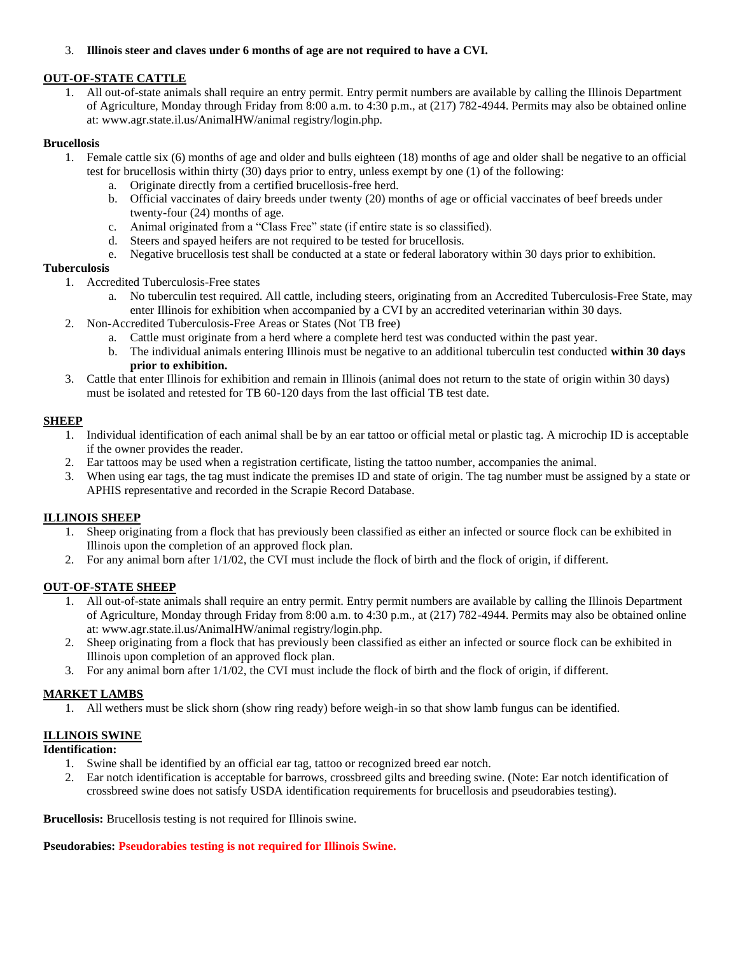#### 3. **Illinois steer and claves under 6 months of age are not required to have a CVI.**

#### **OUT-OF-STATE CATTLE**

1. All out-of-state animals shall require an entry permit. Entry permit numbers are available by calling the Illinois Department of Agriculture, Monday through Friday from 8:00 a.m. to 4:30 p.m., at (217) 782-4944. Permits may also be obtained online at: www.agr.state.il.us/AnimalHW/animal registry/login.php.

#### **Brucellosis**

- 1. Female cattle six (6) months of age and older and bulls eighteen (18) months of age and older shall be negative to an official test for brucellosis within thirty (30) days prior to entry, unless exempt by one (1) of the following:
	- a. Originate directly from a certified brucellosis-free herd.
	- b. Official vaccinates of dairy breeds under twenty (20) months of age or official vaccinates of beef breeds under twenty-four (24) months of age.
	- c. Animal originated from a "Class Free" state (if entire state is so classified).
	- d. Steers and spayed heifers are not required to be tested for brucellosis.
	- e. Negative brucellosis test shall be conducted at a state or federal laboratory within 30 days prior to exhibition.

#### **Tuberculosis**

- 1. Accredited Tuberculosis-Free states
	- a. No tuberculin test required. All cattle, including steers, originating from an Accredited Tuberculosis-Free State, may enter Illinois for exhibition when accompanied by a CVI by an accredited veterinarian within 30 days.
- 2. Non-Accredited Tuberculosis-Free Areas or States (Not TB free)
	- a. Cattle must originate from a herd where a complete herd test was conducted within the past year.
	- b. The individual animals entering Illinois must be negative to an additional tuberculin test conducted **within 30 days prior to exhibition.**
- 3. Cattle that enter Illinois for exhibition and remain in Illinois (animal does not return to the state of origin within 30 days) must be isolated and retested for TB 60-120 days from the last official TB test date.

#### **SHEEP**

- 1. Individual identification of each animal shall be by an ear tattoo or official metal or plastic tag. A microchip ID is acceptable if the owner provides the reader.
- 2. Ear tattoos may be used when a registration certificate, listing the tattoo number, accompanies the animal.
- 3. When using ear tags, the tag must indicate the premises ID and state of origin. The tag number must be assigned by a state or APHIS representative and recorded in the Scrapie Record Database.

#### **ILLINOIS SHEEP**

- 1. Sheep originating from a flock that has previously been classified as either an infected or source flock can be exhibited in Illinois upon the completion of an approved flock plan.
- 2. For any animal born after 1/1/02, the CVI must include the flock of birth and the flock of origin, if different.

#### **OUT-OF-STATE SHEEP**

- 1. All out-of-state animals shall require an entry permit. Entry permit numbers are available by calling the Illinois Department of Agriculture, Monday through Friday from 8:00 a.m. to 4:30 p.m., at (217) 782-4944. Permits may also be obtained online at: www.agr.state.il.us/AnimalHW/animal registry/login.php.
- 2. Sheep originating from a flock that has previously been classified as either an infected or source flock can be exhibited in Illinois upon completion of an approved flock plan.
- 3. For any animal born after 1/1/02, the CVI must include the flock of birth and the flock of origin, if different.

#### **MARKET LAMBS**

1. All wethers must be slick shorn (show ring ready) before weigh-in so that show lamb fungus can be identified.

#### **ILLINOIS SWINE**

**Identification:**

- 1. Swine shall be identified by an official ear tag, tattoo or recognized breed ear notch.
- 2. Ear notch identification is acceptable for barrows, crossbreed gilts and breeding swine. (Note: Ear notch identification of crossbreed swine does not satisfy USDA identification requirements for brucellosis and pseudorabies testing).

**Brucellosis:** Brucellosis testing is not required for Illinois swine.

#### **Pseudorabies: Pseudorabies testing is not required for Illinois Swine.**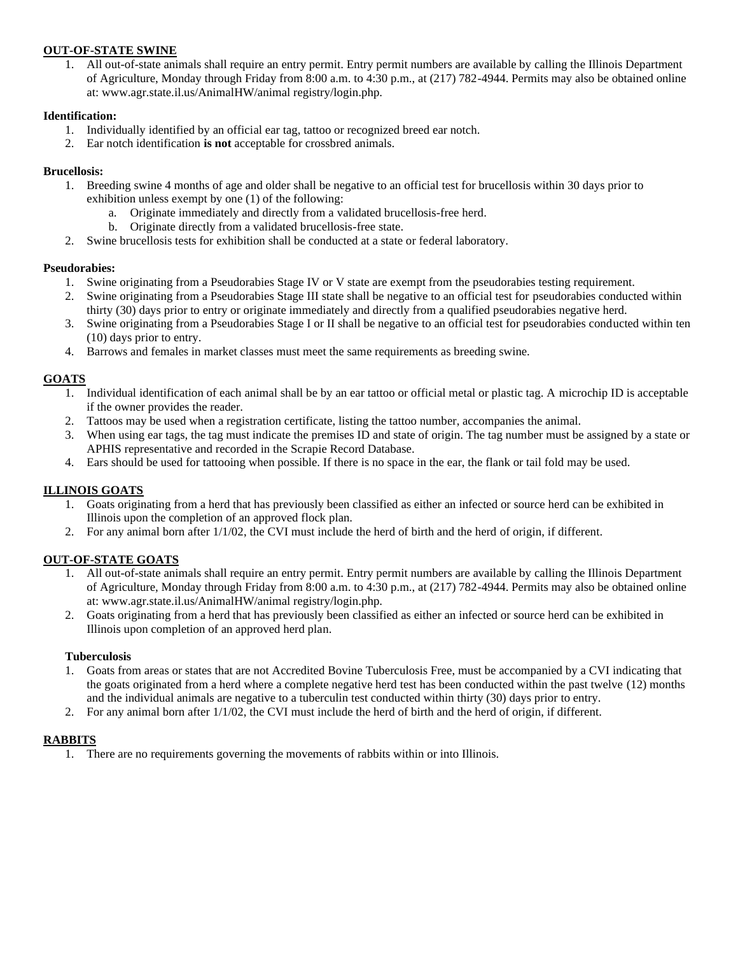#### **OUT-OF-STATE SWINE**

1. All out-of-state animals shall require an entry permit. Entry permit numbers are available by calling the Illinois Department of Agriculture, Monday through Friday from 8:00 a.m. to 4:30 p.m., at (217) 782-4944. Permits may also be obtained online at: www.agr.state.il.us/AnimalHW/animal registry/login.php.

#### **Identification:**

- 1. Individually identified by an official ear tag, tattoo or recognized breed ear notch.
- 2. Ear notch identification **is not** acceptable for crossbred animals.

#### **Brucellosis:**

- 1. Breeding swine 4 months of age and older shall be negative to an official test for brucellosis within 30 days prior to exhibition unless exempt by one (1) of the following:
	- a. Originate immediately and directly from a validated brucellosis-free herd.
	- b. Originate directly from a validated brucellosis-free state.
- 2. Swine brucellosis tests for exhibition shall be conducted at a state or federal laboratory.

#### **Pseudorabies:**

- 1. Swine originating from a Pseudorabies Stage IV or V state are exempt from the pseudorabies testing requirement.
- 2. Swine originating from a Pseudorabies Stage III state shall be negative to an official test for pseudorabies conducted within thirty (30) days prior to entry or originate immediately and directly from a qualified pseudorabies negative herd.
- 3. Swine originating from a Pseudorabies Stage I or II shall be negative to an official test for pseudorabies conducted within ten (10) days prior to entry.
- 4. Barrows and females in market classes must meet the same requirements as breeding swine.

#### **GOATS**

- 1. Individual identification of each animal shall be by an ear tattoo or official metal or plastic tag. A microchip ID is acceptable if the owner provides the reader.
- 2. Tattoos may be used when a registration certificate, listing the tattoo number, accompanies the animal.
- 3. When using ear tags, the tag must indicate the premises ID and state of origin. The tag number must be assigned by a state or APHIS representative and recorded in the Scrapie Record Database.
- 4. Ears should be used for tattooing when possible. If there is no space in the ear, the flank or tail fold may be used.

## **ILLINOIS GOATS**

- 1. Goats originating from a herd that has previously been classified as either an infected or source herd can be exhibited in Illinois upon the completion of an approved flock plan.
- 2. For any animal born after 1/1/02, the CVI must include the herd of birth and the herd of origin, if different.

## **OUT-OF-STATE GOATS**

- 1. All out-of-state animals shall require an entry permit. Entry permit numbers are available by calling the Illinois Department of Agriculture, Monday through Friday from 8:00 a.m. to 4:30 p.m., at (217) 782-4944. Permits may also be obtained online at: www.agr.state.il.us/AnimalHW/animal registry/login.php.
- 2. Goats originating from a herd that has previously been classified as either an infected or source herd can be exhibited in Illinois upon completion of an approved herd plan.

#### **Tuberculosis**

- 1. Goats from areas or states that are not Accredited Bovine Tuberculosis Free, must be accompanied by a CVI indicating that the goats originated from a herd where a complete negative herd test has been conducted within the past twelve (12) months and the individual animals are negative to a tuberculin test conducted within thirty (30) days prior to entry.
- 2. For any animal born after 1/1/02, the CVI must include the herd of birth and the herd of origin, if different.

#### **RABBITS**

1. There are no requirements governing the movements of rabbits within or into Illinois.